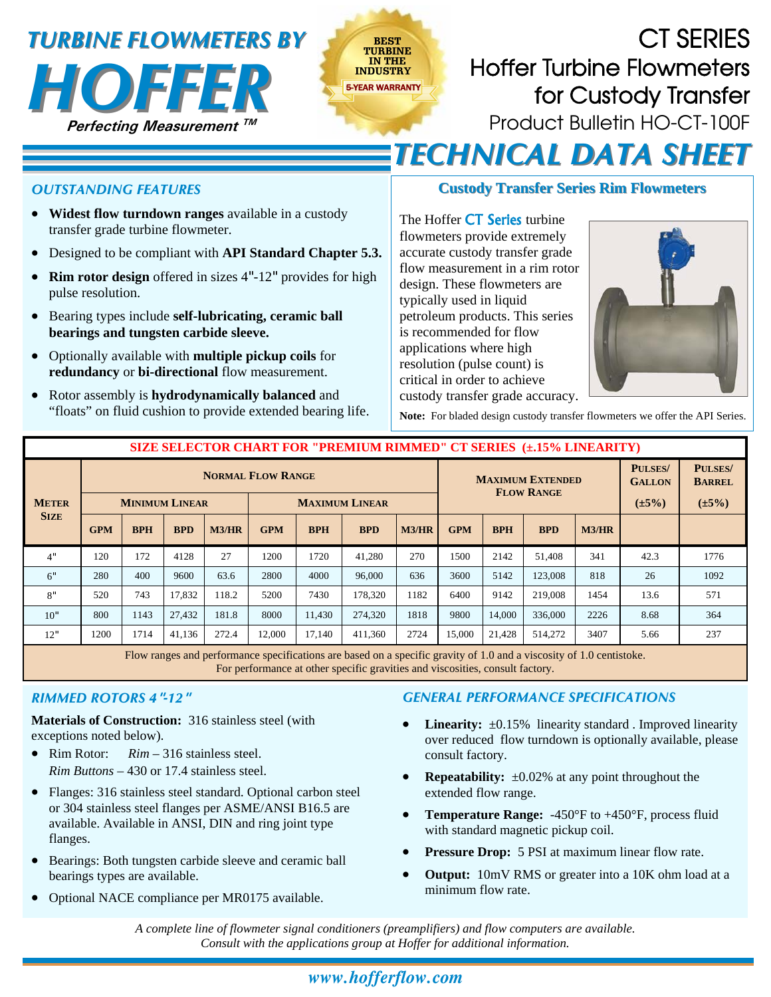# **INDUSTRY** *TURBINE FLOWMETERS BY TURBINE FLOWMETERS BY*



CT SERIES Hoffer Turbine Flowmeters for Custody Transfer Product Bulletin HO-CT-100F **BEST TURBINE IN THE**  *TECHNICAL DATA SHEET TECHNICAL DATA SHEET*

#### *OUTSTANDING FEATURES*

- **Widest flow turndown ranges** available in a custody transfer grade turbine flowmeter.
- Designed to be compliant with **API Standard Chapter 5.3.**
- **Rim rotor design** offered in sizes 4"-12" provides for high pulse resolution.
- Bearing types include **self-lubricating, ceramic ball bearings and tungsten carbide sleeve.**
- Optionally available with **multiple pickup coils** for **redundancy** or **bi-directional** flow measurement.
- Rotor assembly is **hydrodynamically balanced** and "floats" on fluid cushion to provide extended bearing life.

### **Custody Transfer Series Rim Flowmeters**

The Hoffer **CT Series** turbine flowmeters provide extremely accurate custody transfer grade flow measurement in a rim rotor design. These flowmeters are typically used in liquid petroleum products. This series is recommended for flow applications where high resolution (pulse count) is critical in order to achieve custody transfer grade accuracy.



**Note:** For bladed design custody transfer flowmeters we offer the API Series.

| SIZE SELECTOR CHART FOR "PREMIUM RIMMED" CT SERIES (±.15% LINEARITY) |                                                                            |            |            |       |            |            |            |                                              |            |            |            |                                                |                                                |      |
|----------------------------------------------------------------------|----------------------------------------------------------------------------|------------|------------|-------|------------|------------|------------|----------------------------------------------|------------|------------|------------|------------------------------------------------|------------------------------------------------|------|
| <b>METER</b><br><b>SIZE</b>                                          | <b>NORMAL FLOW RANGE</b><br><b>MINIMUM LINEAR</b><br><b>MAXIMUM LINEAR</b> |            |            |       |            |            |            | <b>MAXIMUM EXTENDED</b><br><b>FLOW RANGE</b> |            |            |            | <b>PULSES/</b><br><b>GALLON</b><br>$(\pm 5\%)$ | <b>PULSES/</b><br><b>BARREL</b><br>$(\pm 5\%)$ |      |
|                                                                      | <b>GPM</b>                                                                 | <b>BPH</b> | <b>BPD</b> | M3/HR | <b>GPM</b> | <b>BPH</b> | <b>BPD</b> | M3/HR                                        | <b>GPM</b> | <b>BPH</b> | <b>BPD</b> | M3/HR                                          |                                                |      |
| 4"                                                                   | 120                                                                        | 172        | 4128       | 27    | 1200       | 1720       | 41.280     | 270                                          | 1500       | 2142       | 51.408     | 341                                            | 42.3                                           | 1776 |
| 6"                                                                   | 280                                                                        | 400        | 9600       | 63.6  | 2800       | 4000       | 96,000     | 636                                          | 3600       | 5142       | 123,008    | 818                                            | 26                                             | 1092 |
| 8"                                                                   | 520                                                                        | 743        | 17,832     | 118.2 | 5200       | 7430       | 178,320    | 1182                                         | 6400       | 9142       | 219,008    | 1454                                           | 13.6                                           | 571  |
| 10"                                                                  | 800                                                                        | 1143       | 27.432     | 181.8 | 8000       | 11.430     | 274,320    | 1818                                         | 9800       | 14,000     | 336,000    | 2226                                           | 8.68                                           | 364  |
| 12"                                                                  | 1200                                                                       | 1714       | 41,136     | 272.4 | 12,000     | 17.140     | 411,360    | 2724                                         | 15,000     | 21,428     | 514,272    | 3407                                           | 5.66                                           | 237  |

Flow ranges and performance specifications are based on a specific gravity of 1.0 and a viscosity of 1.0 centistoke. For performance at other specific gravities and viscosities, consult factory.

#### *RIMMED ROTORS 4***"***-12***"**

**Materials of Construction:** 316 stainless steel (with exceptions noted below).

- Rim Rotor: *Rim* 316 stainless steel. *Rim Buttons* – 430 or 17.4 stainless steel.
- Flanges: 316 stainless steel standard. Optional carbon steel or 304 stainless steel flanges per ASME/ANSI B16.5 are available. Available in ANSI, DIN and ring joint type flanges.
- Bearings: Both tungsten carbide sleeve and ceramic ball bearings types are available.
- Optional NACE compliance per MR0175 available.

#### *GENERAL PERFORMANCE SPECIFICATIONS*

- Linearity:  $\pm 0.15\%$  linearity standard . Improved linearity over reduced flow turndown is optionally available, please consult factory.
- **Repeatability:**  $\pm 0.02\%$  at any point throughout the extended flow range.
- **Temperature Range:** -450°F to +450°F, process fluid with standard magnetic pickup coil.
- **Pressure Drop:** 5 PSI at maximum linear flow rate.
- **Output:** 10mV RMS or greater into a 10K ohm load at a minimum flow rate.

*A complete line of flowmeter signal conditioners (preamplifiers) and flow computers are available. Consult with the applications group at Hoffer for additional information.*

## *www.hofferflow.com*